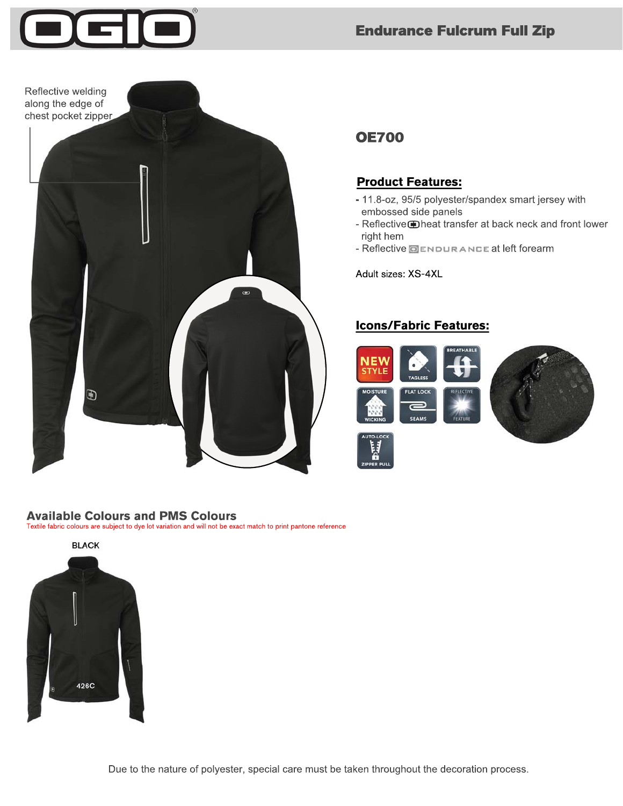





# **OE700**

### **Product Features:**

- 11.8-oz, 95/5 polyester/spandex smart jersey with embossed side panels
- Reflective heat transfer at back neck and front lower right hem
- Reflective **OENDURANCE** at left forearm

Adult sizes: XS-4XL

## **Icons/Fabric Features:**



#### **Available Colours and PMS Colours**

Textile fabric colours are subject to dye lot variation and will not be exact match to print pantone reference